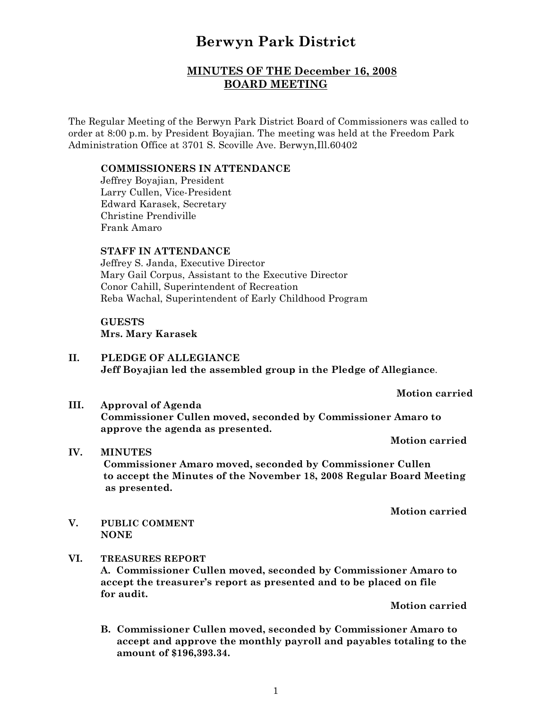# **Berwyn Park District**

# **MINUTES OF THE December 16, 2008 BOARD MEETING**

The Regular Meeting of the Berwyn Park District Board of Commissioners was called to order at 8:00 p.m. by President Boyajian. The meeting was held at the Freedom Park Administration Office at 3701 S. Scoville Ave. Berwyn,Ill.60402

## **COMMISSIONERS IN ATTENDANCE**

Jeffrey Boyajian, President Larry Cullen, Vice-President Edward Karasek, Secretary Christine Prendiville Frank Amaro

# **STAFF IN ATTENDANCE**

Jeffrey S. Janda, Executive Director Mary Gail Corpus, Assistant to the Executive Director Conor Cahill, Superintendent of Recreation Reba Wachal, Superintendent of Early Childhood Program

**GUESTS Mrs. Mary Karasek**

**II. PLEDGE OF ALLEGIANCE Jeff Boyajian led the assembled group in the Pledge of Allegiance**.

#### **Motion carried**

**III. Approval of Agenda Commissioner Cullen moved, seconded by Commissioner Amaro to approve the agenda as presented.**

**Motion carried**

**IV. MINUTES**

**Commissioner Amaro moved, seconded by Commissioner Cullen to accept the Minutes of the November 18, 2008 Regular Board Meeting as presented.**

**Motion carried**

**V. PUBLIC COMMENT NONE**

**VI. TREASURES REPORT A. Commissioner Cullen moved, seconded by Commissioner Amaro to accept the treasurer's report as presented and to be placed on file for audit.**

**Motion carried**

**B. Commissioner Cullen moved, seconded by Commissioner Amaro to accept and approve the monthly payroll and payables totaling to the amount of \$196,393.34.**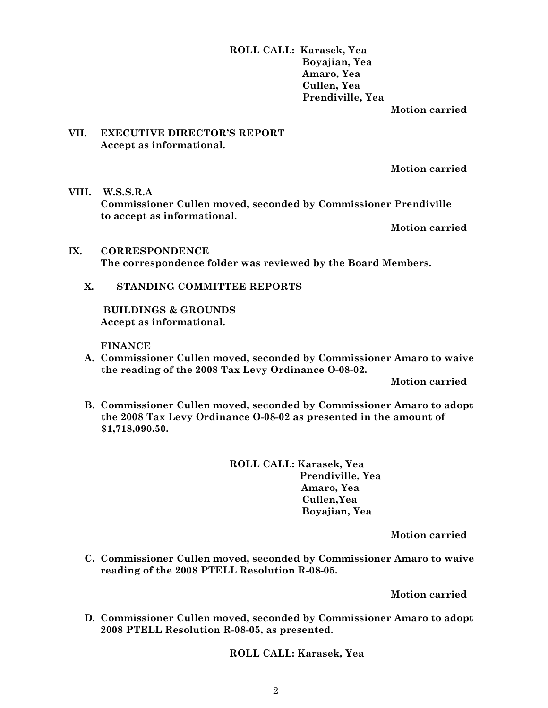**ROLL CALL: Karasek, Yea Boyajian, Yea Amaro, Yea Cullen, Yea Prendiville, Yea**

**Motion carried**

## **VII. EXECUTIVE DIRECTOR'S REPORT Accept as informational.**

**Motion carried**

**VIII. W.S.S.R.A Commissioner Cullen moved, seconded by Commissioner Prendiville to accept as informational.**

**Motion carried**

- **IX. CORRESPONDENCE The correspondence folder was reviewed by the Board Members.**
	- **X. STANDING COMMITTEE REPORTS**

 **BUILDINGS & GROUNDS Accept as informational.**

**FINANCE**

**A. Commissioner Cullen moved, seconded by Commissioner Amaro to waive the reading of the 2008 Tax Levy Ordinance O-08-02.**

**Motion carried**

**B. Commissioner Cullen moved, seconded by Commissioner Amaro to adopt the 2008 Tax Levy Ordinance O-08-02 as presented in the amount of \$1,718,090.50.**

> **ROLL CALL: Karasek, Yea Prendiville, Yea Amaro, Yea Cullen,Yea Boyajian, Yea**

> > **Motion carried**

**C. Commissioner Cullen moved, seconded by Commissioner Amaro to waive reading of the 2008 PTELL Resolution R-08-05.**

**Motion carried**

**D. Commissioner Cullen moved, seconded by Commissioner Amaro to adopt 2008 PTELL Resolution R-08-05, as presented.** 

**ROLL CALL: Karasek, Yea**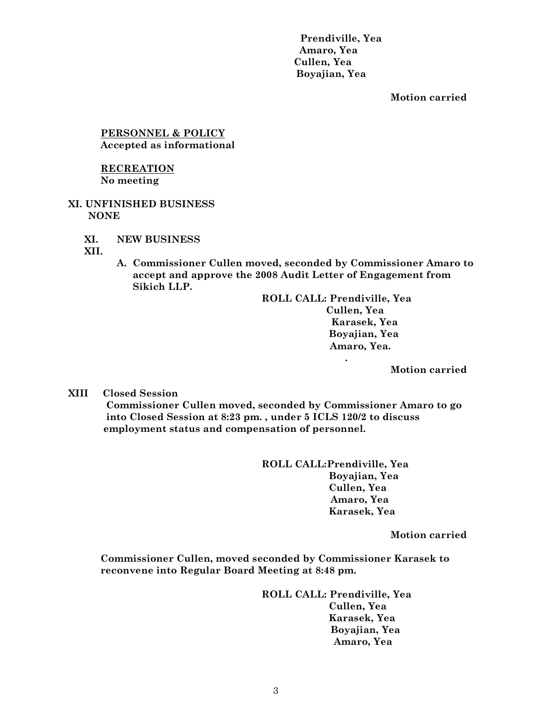**Prendiville, Yea Amaro, Yea Cullen, Yea Boyajian, Yea**

**Motion carried**

**PERSONNEL & POLICY Accepted as informational**

**RECREATION No meeting**

# **XI. UNFINISHED BUSINESS NONE**

**XI. NEW BUSINESS**

**XII.**

**A. Commissioner Cullen moved, seconded by Commissioner Amaro to accept and approve the 2008 Audit Letter of Engagement from Sikich LLP.**

> **ROLL CALL: Prendiville, Yea Cullen, Yea Karasek, Yea Boyajian, Yea Amaro, Yea.**

> > **Motion carried**

**XIII Closed Session**

 **Commissioner Cullen moved, seconded by Commissioner Amaro to go into Closed Session at 8:23 pm. , under 5 ICLS 120/2 to discuss employment status and compensation of personnel.** 

 **.** 

**ROLL CALL:Prendiville, Yea Boyajian, Yea Cullen, Yea Amaro, Yea Karasek, Yea**

**Motion carried**

**Commissioner Cullen, moved seconded by Commissioner Karasek to reconvene into Regular Board Meeting at 8:48 pm.**

> **ROLL CALL: Prendiville, Yea Cullen, Yea Karasek, Yea Boyajian, Yea Amaro, Yea**